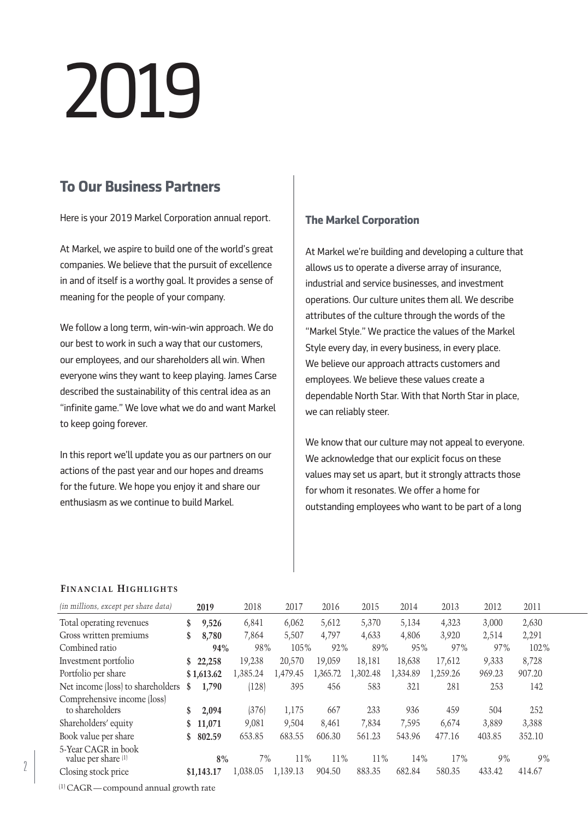# 2019

# **To Our Business Partners**

Here is your 2019 Markel Corporation annual report.

At Markel, we aspire to build one of the world's great companies. We believe that the pursuit of excellence in and of itself is a worthy goal. It provides a sense of meaning for the people of your company.

We follow a long term, win-win-win approach. We do our best to work in such a way that our customers, our employees, and our shareholders all win. When everyone wins they want to keep playing. James Carse described the sustainability of this central idea as an "infinite game." We love what we do and want Markel to keep going forever.

In this report we'll update you as our partners on our actions of the past year and our hopes and dreams for the future. We hope you enjoy it and share our enthusiasm as we continue to build Markel.

# **The Markel Corporation**

At Markel we're building and developing a culture that allows us to operate a diverse array of insurance, industrial and service businesses, and investment operations. Our culture unites them all. We describe attributes of the culture through the words of the "Markel Style." We practice the values of the Markel Style every day, in every business, in every place. We believe our approach attracts customers and employees. We believe these values create a dependable North Star. With that North Star in place, we can reliably steer.

We know that our culture may not appeal to everyone. We acknowledge that our explicit focus on these values may set us apart, but it strongly attracts those for whom it resonates. We offer a home for outstanding employees who want to be part of a long

## **Financial Highlights**

| (in millions, except per share data)           |              | 2019       | 2018     | 2017     | 2016     | 2015     | 2014     | 2013     | 2012   | 2011   |
|------------------------------------------------|--------------|------------|----------|----------|----------|----------|----------|----------|--------|--------|
| Total operating revenues                       | \$           | 9,526      | 6,841    | 6,062    | 5,612    | 5,370    | 5,134    | 4,323    | 3,000  | 2,630  |
| Gross written premiums                         | \$           | 8,780      | 7,864    | 5,507    | 4,797    | 4,633    | 4,806    | 3,920    | 2,514  | 2,291  |
| Combined ratio                                 |              | 94%        | 98%      | 105%     | 92%      | 89%      | 95%      | 97%      | 97%    | 102%   |
| Investment portfolio                           |              | \$22.258   | 19.238   | 20.570   | 19.059   | 18.181   | 18.638   | 17.612   | 9,333  | 8,728  |
| Portfolio per share                            |              | \$1,613.62 | 1,385.24 | 1,479.45 | 1,365.72 | 1,302.48 | 1,334.89 | 1,259.26 | 969.23 | 907.20 |
| Net income (loss) to shareholders              | \$           | 1,790      | (128)    | 395      | 456      | 583      | 321      | 281      | 253    | 142    |
| Comprehensive income (loss)<br>to shareholders | \$           | 2,094      | (376)    | 1,175    | 667      | 233      | 936      | 459      | 504    | 252    |
| Shareholders' equity                           | $\mathbf{s}$ | 11,071     | 9,081    | 9,504    | 8.461    | 7,834    | 7,595    | 6.674    | 3,889  | 3,388  |
| Book value per share                           | \$           | 802.59     | 653.85   | 683.55   | 606.30   | 561.23   | 543.96   | 477.16   | 403.85 | 352.10 |
| 5-Year CAGR in book<br>value per share (1)     |              | 8%         | 7%       | 11%      | 11%      | 11%      | 14%      | 17%      | 9%     | 9%     |
| Closing stock price                            |              | \$1.143.17 | 1.038.05 | 1.139.13 | 904.50   | 883.35   | 682.84   | 580.35   | 433.42 | 414.67 |

(1) CAGR — compound annual growth rate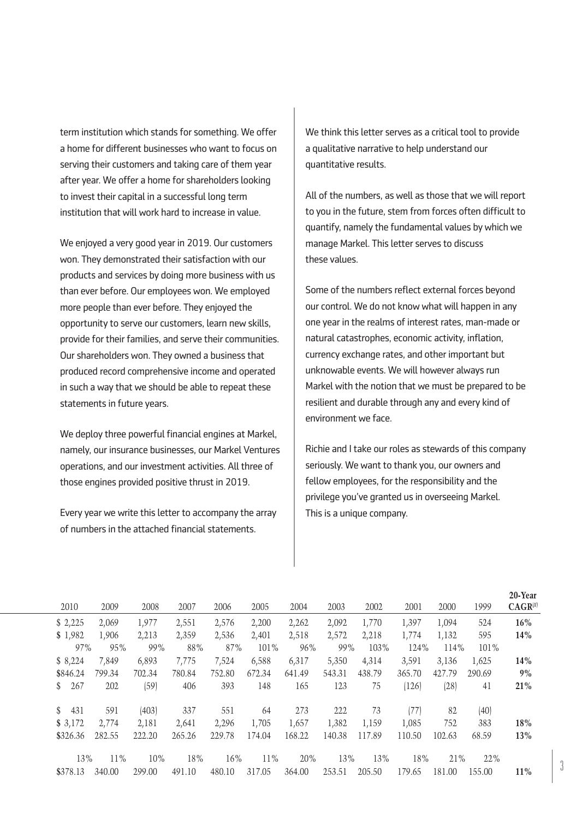term institution which stands for something. We offer a home for different businesses who want to focus on serving their customers and taking care of them year after year. We offer a home for shareholders looking to invest their capital in a successful long term institution that will work hard to increase in value.

We enjoyed a very good year in 2019. Our customers won. They demonstrated their satisfaction with our products and services by doing more business with us than ever before. Our employees won. We employed more people than ever before. They enjoyed the opportunity to serve our customers, learn new skills, provide for their families, and serve their communities. Our shareholders won. They owned a business that produced record comprehensive income and operated in such a way that we should be able to repeat these statements in future years.

We deploy three powerful financial engines at Markel, namely, our insurance businesses, our Markel Ventures operations, and our investment activities. All three of those engines provided positive thrust in 2019.

Every year we write this letter to accompany the array of numbers in the attached financial statements.

We think this letter serves as a critical tool to provide a qualitative narrative to help understand our quantitative results.

All of the numbers, as well as those that we will report to you in the future, stem from forces often difficult to quantify, namely the fundamental values by which we manage Markel. This letter serves to discuss these values.

Some of the numbers reflect external forces beyond our control. We do not know what will happen in any one year in the realms of interest rates, man-made or natural catastrophes, economic activity, inflation, currency exchange rates, and other important but unknowable events. We will however always run Markel with the notion that we must be prepared to be resilient and durable through any and every kind of environment we face.

Richie and I take our roles as stewards of this company seriously. We want to thank you, our owners and fellow employees, for the responsibility and the privilege you've granted us in overseeing Markel. This is a unique company.

| 2010                  | 2009   | 2008   | 2007   | 2006   | 2005   | 2004   | 2003   | 2002   | 2001   | 2000   | 1999   | 20-Year<br>$CAGR^{(1)}$ |
|-----------------------|--------|--------|--------|--------|--------|--------|--------|--------|--------|--------|--------|-------------------------|
| \$2,225               | 2,069  | 1,977  | 2,551  | 2,576  | 2,200  | 2,262  | 2,092  | 1,770  | 1,397  | 1,094  | 524    | 16%                     |
| \$1,982               | 1,906  | 2,213  | 2,359  | 2,536  | 2,401  | 2,518  | 2,572  | 2,218  | 1,774  | 1,132  | 595    | 14%                     |
| 97%                   | 95%    | 99%    | 88%    | 87%    | 101%   | 96%    | 99%    | 103%   | 124%   | 114%   | 101%   |                         |
| \$8,224               | 7,849  | 6,893  | 7,775  | 7,524  | 6,588  | 6,317  | 5,350  | 4,314  | 3,591  | 3,136  | 1,625  | 14%                     |
| \$846.24              | 799.34 | 702.34 | 780.84 | 752.80 | 672.34 | 641.49 | 543.31 | 438.79 | 365.70 | 427.79 | 290.69 | 9%                      |
| 267<br>S.             | 202    | (59)   | 406    | 393    | 148    | 165    | 123    | 75     | (126)  | (28)   | 41     | 21%                     |
| $\mathbb{S}^-$<br>431 | 591    | (403)  | 337    | 551    | 64     | 273    | 222    | 73     | (77)   | 82     | (40)   |                         |
| \$3,172               | 2,774  | 2,181  | 2,641  | 2,296  | 1,705  | 1,657  | 1,382  | 1,159  | 1,085  | 752    | 383    | 18%                     |
| \$326.36              | 282.55 | 222.20 | 265.26 | 229.78 | 174.04 | 168.22 | 140.38 | 117.89 | 110.50 | 102.63 | 68.59  | 13%                     |
| 13%                   | 11%    | 10%    | 18%    | 16%    | 11%    | 20%    | 13%    | 13%    | 18%    | 21%    | 22%    |                         |
| \$378.13              | 340.00 | 299.00 | 491.10 | 480.10 | 317.05 | 364.00 | 253.51 | 205.50 | 179.65 | 181.00 | 155.00 | 11%                     |
|                       |        |        |        |        |        |        |        |        |        |        |        |                         |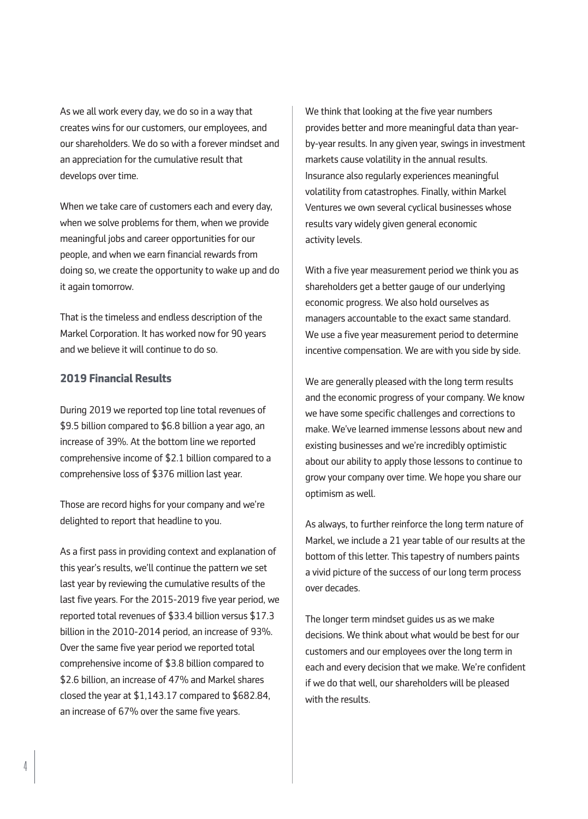As we all work every day, we do so in a way that creates wins for our customers, our employees, and our shareholders. We do so with a forever mindset and an appreciation for the cumulative result that develops over time.

When we take care of customers each and every day, when we solve problems for them, when we provide meaningful jobs and career opportunities for our people, and when we earn financial rewards from doing so, we create the opportunity to wake up and do it again tomorrow.

That is the timeless and endless description of the Markel Corporation. It has worked now for 90 years and we believe it will continue to do so.

## **2019 Financial Results**

During 2019 we reported top line total revenues of \$9.5 billion compared to \$6.8 billion a year ago, an increase of 39%. At the bottom line we reported comprehensive income of \$2.1 billion compared to a comprehensive loss of \$376 million last year.

Those are record highs for your company and we're delighted to report that headline to you.

As a first pass in providing context and explanation of this year's results, we'll continue the pattern we set last year by reviewing the cumulative results of the last five years. For the 2015-2019 five year period, we reported total revenues of \$33.4 billion versus \$17.3 billion in the 2010-2014 period, an increase of 93%. Over the same five year period we reported total comprehensive income of \$3.8 billion compared to \$2.6 billion, an increase of 47% and Markel shares closed the year at \$1,143.17 compared to \$682.84, an increase of 67% over the same five years.

We think that looking at the five year numbers provides better and more meaningful data than yearby-year results. In any given year, swings in investment markets cause volatility in the annual results. Insurance also regularly experiences meaningful volatility from catastrophes. Finally, within Markel Ventures we own several cyclical businesses whose results vary widely given general economic activity levels.

With a five year measurement period we think you as shareholders get a better gauge of our underlying economic progress. We also hold ourselves as managers accountable to the exact same standard. We use a five year measurement period to determine incentive compensation. We are with you side by side.

We are generally pleased with the long term results and the economic progress of your company. We know we have some specific challenges and corrections to make. We've learned immense lessons about new and existing businesses and we're incredibly optimistic about our ability to apply those lessons to continue to grow your company over time. We hope you share our optimism as well.

As always, to further reinforce the long term nature of Markel, we include a 21 year table of our results at the bottom of this letter. This tapestry of numbers paints a vivid picture of the success of our long term process over decades.

The longer term mindset guides us as we make decisions. We think about what would be best for our customers and our employees over the long term in each and every decision that we make. We're confident if we do that well, our shareholders will be pleased with the results.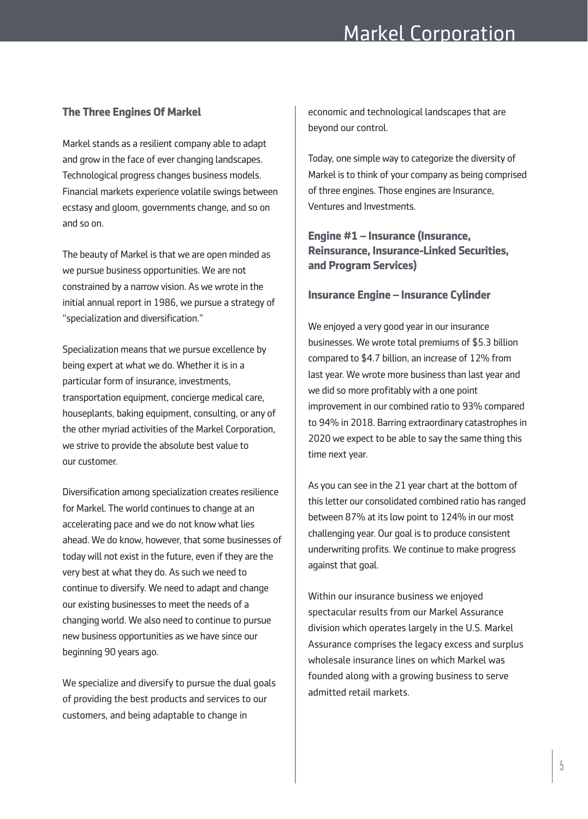# **The Three Engines Of Markel**

Markel stands as a resilient company able to adapt and grow in the face of ever changing landscapes. Technological progress changes business models. Financial markets experience volatile swings between ecstasy and gloom, governments change, and so on and so on.

The beauty of Markel is that we are open minded as we pursue business opportunities. We are not constrained by a narrow vision. As we wrote in the initial annual report in 1986, we pursue a strategy of "specialization and diversification."

Specialization means that we pursue excellence by being expert at what we do. Whether it is in a particular form of insurance, investments, transportation equipment, concierge medical care, houseplants, baking equipment, consulting, or any of the other myriad activities of the Markel Corporation, we strive to provide the absolute best value to our customer.

Diversification among specialization creates resilience for Markel. The world continues to change at an accelerating pace and we do not know what lies ahead. We do know, however, that some businesses of today will not exist in the future, even if they are the very best at what they do. As such we need to continue to diversify. We need to adapt and change our existing businesses to meet the needs of a changing world. We also need to continue to pursue new business opportunities as we have since our beginning 90 years ago.

We specialize and diversify to pursue the dual goals of providing the best products and services to our customers, and being adaptable to change in

economic and technological landscapes that are beyond our control.

Today, one simple way to categorize the diversity of Markel is to think of your company as being comprised of three engines. Those engines are Insurance, Ventures and Investments.

# **Engine #1 – Insurance (Insurance, Reinsurance, Insurance-Linked Securities, and Program Services)**

### **Insurance Engine – Insurance Cylinder**

We enjoyed a very good year in our insurance businesses. We wrote total premiums of \$5.3 billion compared to \$4.7 billion, an increase of 12% from last year. We wrote more business than last year and we did so more profitably with a one point improvement in our combined ratio to 93% compared to 94% in 2018. Barring extraordinary catastrophes in 2020 we expect to be able to say the same thing this time next year.

As you can see in the 21 year chart at the bottom of this letter our consolidated combined ratio has ranged between 87% at its low point to 124% in our most challenging year. Our goal is to produce consistent underwriting profits. We continue to make progress against that goal.

Within our insurance business we enjoyed spectacular results from our Markel Assurance division which operates largely in the U.S. Markel Assurance comprises the legacy excess and surplus wholesale insurance lines on which Markel was founded along with a growing business to serve admitted retail markets.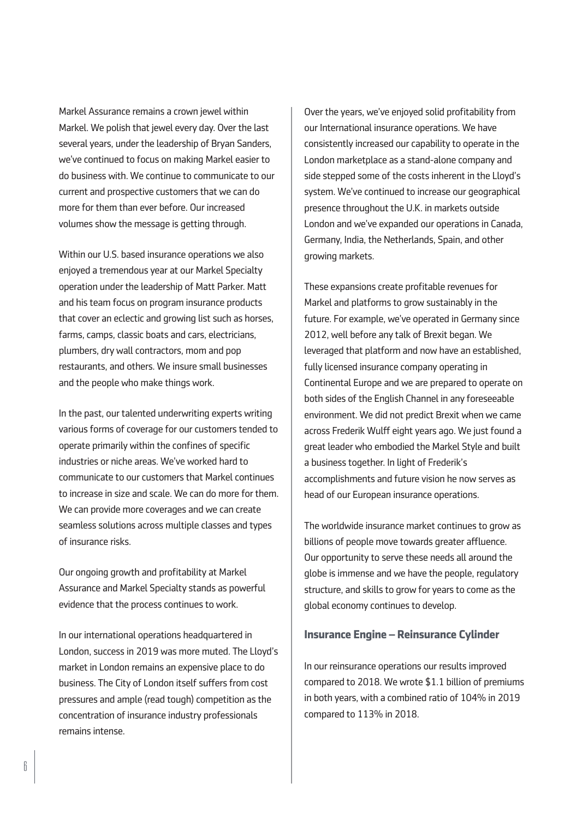Markel Assurance remains a crown jewel within Markel. We polish that jewel every day. Over the last several years, under the leadership of Bryan Sanders, we've continued to focus on making Markel easier to do business with. We continue to communicate to our current and prospective customers that we can do more for them than ever before. Our increased volumes show the message is getting through.

Within our U.S. based insurance operations we also enjoyed a tremendous year at our Markel Specialty operation under the leadership of Matt Parker. Matt and his team focus on program insurance products that cover an eclectic and growing list such as horses, farms, camps, classic boats and cars, electricians, plumbers, dry wall contractors, mom and pop restaurants, and others. We insure small businesses and the people who make things work.

In the past, our talented underwriting experts writing various forms of coverage for our customers tended to operate primarily within the confines of specific industries or niche areas. We've worked hard to communicate to our customers that Markel continues to increase in size and scale. We can do more for them. We can provide more coverages and we can create seamless solutions across multiple classes and types of insurance risks.

Our ongoing growth and profitability at Markel Assurance and Markel Specialty stands as powerful evidence that the process continues to work.

In our international operations headquartered in London, success in 2019 was more muted. The Lloyd's market in London remains an expensive place to do business. The City of London itself suffers from cost pressures and ample (read tough) competition as the concentration of insurance industry professionals remains intense.

Over the years, we've enjoyed solid profitability from our International insurance operations. We have consistently increased our capability to operate in the London marketplace as a stand-alone company and side stepped some of the costs inherent in the Lloyd's system. We've continued to increase our geographical presence throughout the U.K. in markets outside London and we've expanded our operations in Canada, Germany, India, the Netherlands, Spain, and other growing markets.

These expansions create profitable revenues for Markel and platforms to grow sustainably in the future. For example, we've operated in Germany since 2012, well before any talk of Brexit began. We leveraged that platform and now have an established, fully licensed insurance company operating in Continental Europe and we are prepared to operate on both sides of the English Channel in any foreseeable environment. We did not predict Brexit when we came across Frederik Wulff eight years ago. We just found a great leader who embodied the Markel Style and built a business together. In light of Frederik's accomplishments and future vision he now serves as head of our European insurance operations.

The worldwide insurance market continues to grow as billions of people move towards greater affluence. Our opportunity to serve these needs all around the globe is immense and we have the people, regulatory structure, and skills to grow for years to come as the global economy continues to develop.

### **Insurance Engine – Reinsurance Cylinder**

In our reinsurance operations our results improved compared to 2018. We wrote \$1.1 billion of premiums in both years, with a combined ratio of 104% in 2019 compared to 113% in 2018.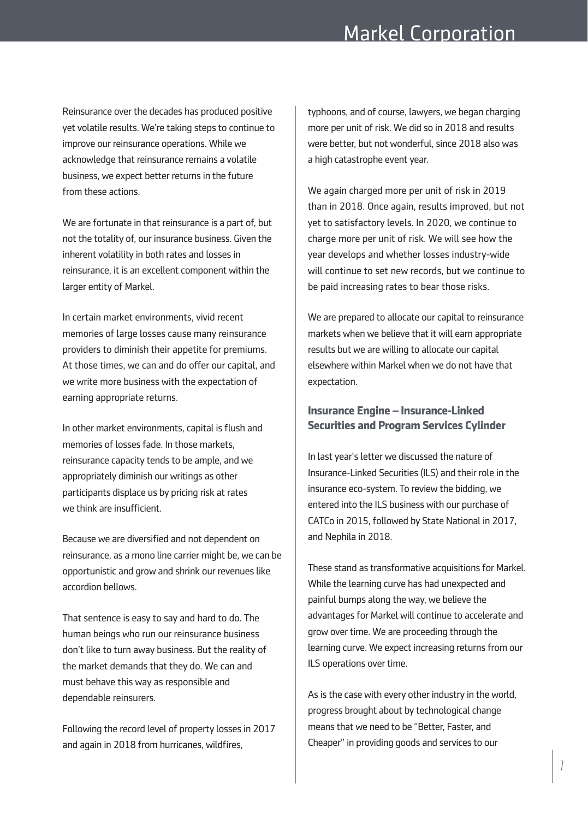# Markel Corporation

Reinsurance over the decades has produced positive yet volatile results. We're taking steps to continue to improve our reinsurance operations. While we acknowledge that reinsurance remains a volatile business, we expect better returns in the future from these actions.

We are fortunate in that reinsurance is a part of, but not the totality of, our insurance business. Given the inherent volatility in both rates and losses in reinsurance, it is an excellent component within the larger entity of Markel.

In certain market environments, vivid recent memories of large losses cause many reinsurance providers to diminish their appetite for premiums. At those times, we can and do offer our capital, and we write more business with the expectation of earning appropriate returns.

In other market environments, capital is flush and memories of losses fade. In those markets, reinsurance capacity tends to be ample, and we appropriately diminish our writings as other participants displace us by pricing risk at rates we think are insufficient.

Because we are diversified and not dependent on reinsurance, as a mono line carrier might be, we can be opportunistic and grow and shrink our revenues like accordion bellows.

That sentence is easy to say and hard to do. The human beings who run our reinsurance business don't like to turn away business. But the reality of the market demands that they do. We can and must behave this way as responsible and dependable reinsurers.

Following the record level of property losses in 2017 and again in 2018 from hurricanes, wildfires,

typhoons, and of course, lawyers, we began charging more per unit of risk. We did so in 2018 and results were better, but not wonderful, since 2018 also was a high catastrophe event year.

We again charged more per unit of risk in 2019 than in 2018. Once again, results improved, but not yet to satisfactory levels. In 2020, we continue to charge more per unit of risk. We will see how the year develops and whether losses industry-wide will continue to set new records, but we continue to be paid increasing rates to bear those risks.

We are prepared to allocate our capital to reinsurance markets when we believe that it will earn appropriate results but we are willing to allocate our capital elsewhere within Markel when we do not have that expectation.

## **Insurance Engine – Insurance-Linked Securities and Program Services Cylinder**

In last year's letter we discussed the nature of Insurance-Linked Securities (ILS) and their role in the insurance eco-system. To review the bidding, we entered into the ILS business with our purchase of CATCo in 2015, followed by State National in 2017, and Nephila in 2018.

These stand as transformative acquisitions for Markel. While the learning curve has had unexpected and painful bumps along the way, we believe the advantages for Markel will continue to accelerate and grow over time. We are proceeding through the learning curve. We expect increasing returns from our ILS operations over time.

As is the case with every other industry in the world, progress brought about by technological change means that we need to be "Better, Faster, and Cheaper" in providing goods and services to our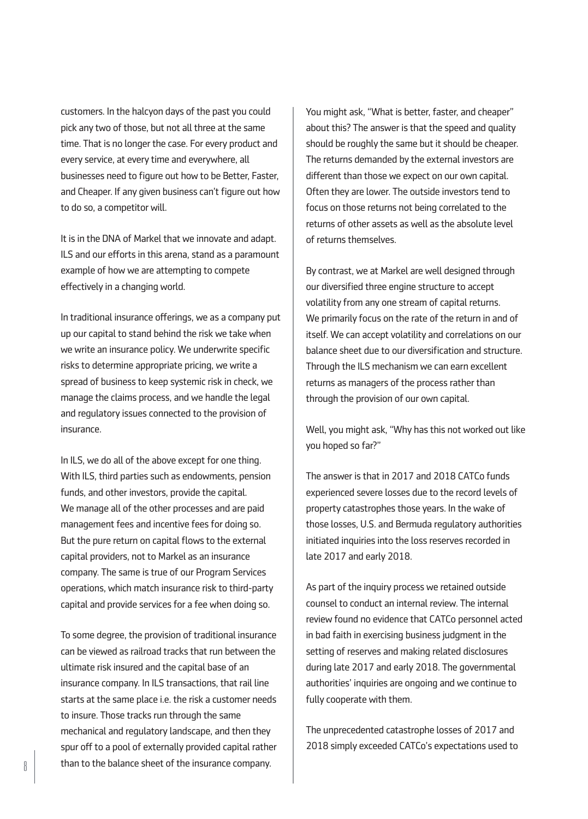customers. In the halcyon days of the past you could pick any two of those, but not all three at the same time. That is no longer the case. For every product and every service, at every time and everywhere, all businesses need to figure out how to be Better, Faster, and Cheaper. If any given business can't figure out how to do so, a competitor will.

It is in the DNA of Markel that we innovate and adapt. ILS and our efforts in this arena, stand as a paramount example of how we are attempting to compete effectively in a changing world.

In traditional insurance offerings, we as a company put up our capital to stand behind the risk we take when we write an insurance policy. We underwrite specific risks to determine appropriate pricing, we write a spread of business to keep systemic risk in check, we manage the claims process, and we handle the legal and regulatory issues connected to the provision of insurance.

In ILS, we do all of the above except for one thing. With ILS, third parties such as endowments, pension funds, and other investors, provide the capital. We manage all of the other processes and are paid management fees and incentive fees for doing so. But the pure return on capital flows to the external capital providers, not to Markel as an insurance company. The same is true of our Program Services operations, which match insurance risk to third-party capital and provide services for a fee when doing so.

To some degree, the provision of traditional insurance can be viewed as railroad tracks that run between the ultimate risk insured and the capital base of an insurance company. In ILS transactions, that rail line starts at the same place i.e. the risk a customer needs to insure. Those tracks run through the same mechanical and regulatory landscape, and then they spur off to a pool of externally provided capital rather than to the balance sheet of the insurance company.

You might ask, "What is better, faster, and cheaper" about this? The answer is that the speed and quality should be roughly the same but it should be cheaper. The returns demanded by the external investors are different than those we expect on our own capital. Often they are lower. The outside investors tend to focus on those returns not being correlated to the returns of other assets as well as the absolute level of returns themselves.

By contrast, we at Markel are well designed through our diversified three engine structure to accept volatility from any one stream of capital returns. We primarily focus on the rate of the return in and of itself. We can accept volatility and correlations on our balance sheet due to our diversification and structure. Through the ILS mechanism we can earn excellent returns as managers of the process rather than through the provision of our own capital.

Well, you might ask, "Why has this not worked out like you hoped so far?"

The answer is that in 2017 and 2018 CATCo funds experienced severe losses due to the record levels of property catastrophes those years. In the wake of those losses, U.S. and Bermuda regulatory authorities initiated inquiries into the loss reserves recorded in late 2017 and early 2018.

As part of the inquiry process we retained outside counsel to conduct an internal review. The internal review found no evidence that CATCo personnel acted in bad faith in exercising business judgment in the setting of reserves and making related disclosures during late 2017 and early 2018. The governmental authorities' inquiries are ongoing and we continue to fully cooperate with them.

The unprecedented catastrophe losses of 2017 and 2018 simply exceeded CATCo's expectations used to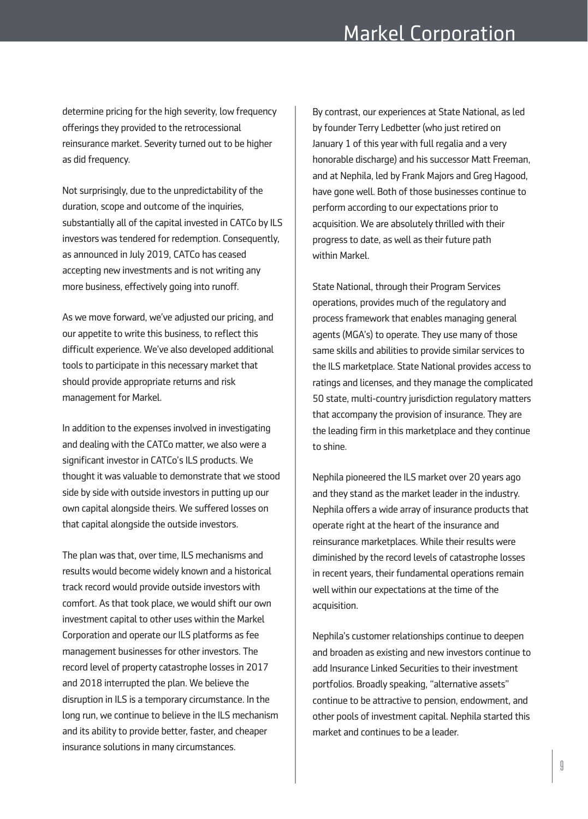determine pricing for the high severity, low frequency offerings they provided to the retrocessional reinsurance market. Severity turned out to be higher as did frequency.

Not surprisingly, due to the unpredictability of the duration, scope and outcome of the inquiries, substantially all of the capital invested in CATCo by ILS investors was tendered for redemption. Consequently, as announced in July 2019, CATCo has ceased accepting new investments and is not writing any more business, effectively going into runoff.

As we move forward, we've adjusted our pricing, and our appetite to write this business, to reflect this difficult experience. We've also developed additional tools to participate in this necessary market that should provide appropriate returns and risk management for Markel.

In addition to the expenses involved in investigating and dealing with the CATCo matter, we also were a significant investor in CATCo's ILS products. We thought it was valuable to demonstrate that we stood side by side with outside investors in putting up our own capital alongside theirs. We suffered losses on that capital alongside the outside investors.

The plan was that, over time, ILS mechanisms and results would become widely known and a historical track record would provide outside investors with comfort. As that took place, we would shift our own investment capital to other uses within the Markel Corporation and operate our ILS platforms as fee management businesses for other investors. The record level of property catastrophe losses in 2017 and 2018 interrupted the plan. We believe the disruption in ILS is a temporary circumstance. In the long run, we continue to believe in the ILS mechanism and its ability to provide better, faster, and cheaper insurance solutions in many circumstances.

By contrast, our experiences at State National, as led by founder Terry Ledbetter (who just retired on January 1 of this year with full regalia and a very honorable discharge) and his successor Matt Freeman, and at Nephila, led by Frank Majors and Greg Hagood, have gone well. Both of those businesses continue to perform according to our expectations prior to acquisition. We are absolutely thrilled with their progress to date, as well as their future path within Markel.

State National, through their Program Services operations, provides much of the regulatory and process framework that enables managing general agents (MGA's) to operate. They use many of those same skills and abilities to provide similar services to the ILS marketplace. State National provides access to ratings and licenses, and they manage the complicated 50 state, multi-country jurisdiction regulatory matters that accompany the provision of insurance. They are the leading firm in this marketplace and they continue to shine.

Nephila pioneered the ILS market over 20 years ago and they stand as the market leader in the industry. Nephila offers a wide array of insurance products that operate right at the heart of the insurance and reinsurance marketplaces. While their results were diminished by the record levels of catastrophe losses in recent years, their fundamental operations remain well within our expectations at the time of the acquisition.

Nephila's customer relationships continue to deepen and broaden as existing and new investors continue to add Insurance Linked Securities to their investment portfolios. Broadly speaking, "alternative assets" continue to be attractive to pension, endowment, and other pools of investment capital. Nephila started this market and continues to be a leader.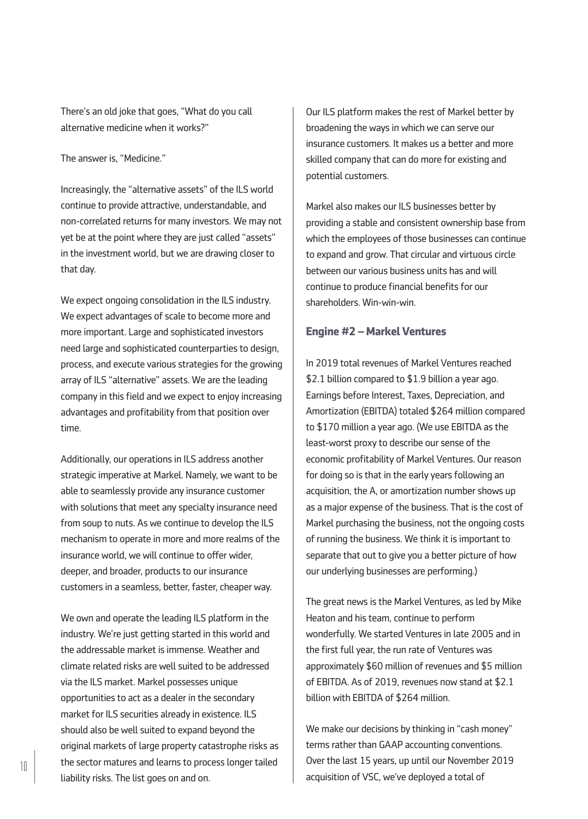There's an old joke that goes, "What do you call alternative medicine when it works?"

The answer is, "Medicine."

Increasingly, the "alternative assets" of the ILS world continue to provide attractive, understandable, and non-correlated returns for many investors. We may not yet be at the point where they are just called "assets" in the investment world, but we are drawing closer to that day.

We expect ongoing consolidation in the ILS industry. We expect advantages of scale to become more and more important. Large and sophisticated investors need large and sophisticated counterparties to design, process, and execute various strategies for the growing array of ILS "alternative" assets. We are the leading company in this field and we expect to enjoy increasing advantages and profitability from that position over time.

Additionally, our operations in ILS address another strategic imperative at Markel. Namely, we want to be able to seamlessly provide any insurance customer with solutions that meet any specialty insurance need from soup to nuts. As we continue to develop the ILS mechanism to operate in more and more realms of the insurance world, we will continue to offer wider, deeper, and broader, products to our insurance customers in a seamless, better, faster, cheaper way.

We own and operate the leading ILS platform in the industry. We're just getting started in this world and the addressable market is immense. Weather and climate related risks are well suited to be addressed via the ILS market. Markel possesses unique opportunities to act as a dealer in the secondary market for ILS securities already in existence. ILS should also be well suited to expand beyond the original markets of large property catastrophe risks as the sector matures and learns to process longer tailed liability risks. The list goes on and on.

Our ILS platform makes the rest of Markel better by broadening the ways in which we can serve our insurance customers. It makes us a better and more skilled company that can do more for existing and potential customers.

Markel also makes our ILS businesses better by providing a stable and consistent ownership base from which the employees of those businesses can continue to expand and grow. That circular and virtuous circle between our various business units has and will continue to produce financial benefits for our shareholders. Win-win-win.

### **Engine #2 – Markel Ventures**

In 2019 total revenues of Markel Ventures reached \$2.1 billion compared to \$1.9 billion a year ago. Earnings before Interest, Taxes, Depreciation, and Amortization (EBITDA) totaled \$264 million compared to \$170 million a year ago. (We use EBITDA as the least-worst proxy to describe our sense of the economic profitability of Markel Ventures. Our reason for doing so is that in the early years following an acquisition, the A, or amortization number shows up as a major expense of the business. That is the cost of Markel purchasing the business, not the ongoing costs of running the business. We think it is important to separate that out to give you a better picture of how our underlying businesses are performing.)

The great news is the Markel Ventures, as led by Mike Heaton and his team, continue to perform wonderfully. We started Ventures in late 2005 and in the first full year, the run rate of Ventures was approximately \$60 million of revenues and \$5 million of EBITDA. As of 2019, revenues now stand at \$2.1 billion with EBITDA of \$264 million.

We make our decisions by thinking in "cash money" terms rather than GAAP accounting conventions. Over the last 15 years, up until our November 2019 acquisition of VSC, we've deployed a total of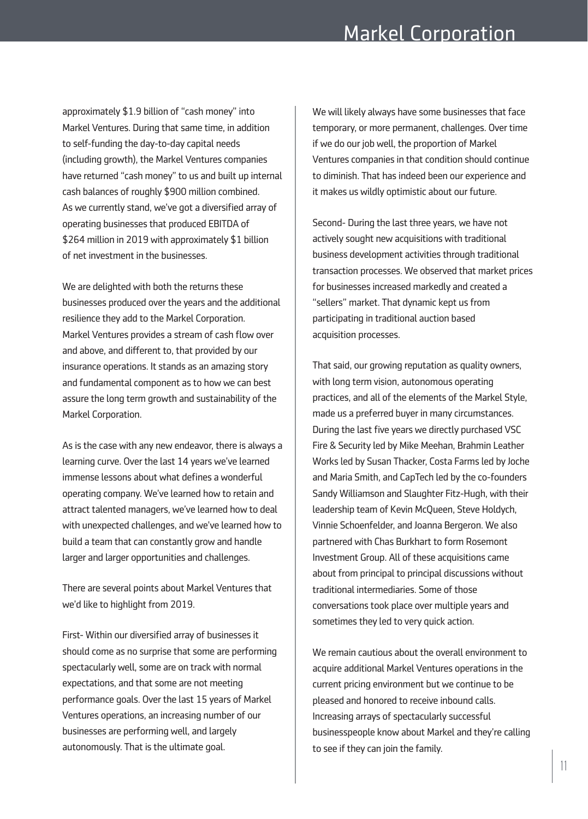approximately \$1.9 billion of "cash money" into Markel Ventures. During that same time, in addition to self-funding the day-to-day capital needs (including growth), the Markel Ventures companies have returned "cash money" to us and built up internal cash balances of roughly \$900 million combined. As we currently stand, we've got a diversified array of operating businesses that produced EBITDA of \$264 million in 2019 with approximately \$1 billion of net investment in the businesses.

We are delighted with both the returns these businesses produced over the years and the additional resilience they add to the Markel Corporation. Markel Ventures provides a stream of cash flow over and above, and different to, that provided by our insurance operations. It stands as an amazing story and fundamental component as to how we can best assure the long term growth and sustainability of the Markel Corporation.

As is the case with any new endeavor, there is always a learning curve. Over the last 14 years we've learned immense lessons about what defines a wonderful operating company. We've learned how to retain and attract talented managers, we've learned how to deal with unexpected challenges, and we've learned how to build a team that can constantly grow and handle larger and larger opportunities and challenges.

There are several points about Markel Ventures that we'd like to highlight from 2019.

First- Within our diversified array of businesses it should come as no surprise that some are performing spectacularly well, some are on track with normal expectations, and that some are not meeting performance goals. Over the last 15 years of Markel Ventures operations, an increasing number of our businesses are performing well, and largely autonomously. That is the ultimate goal.

We will likely always have some businesses that face temporary, or more permanent, challenges. Over time if we do our job well, the proportion of Markel Ventures companies in that condition should continue to diminish. That has indeed been our experience and it makes us wildly optimistic about our future.

Second- During the last three years, we have not actively sought new acquisitions with traditional business development activities through traditional transaction processes. We observed that market prices for businesses increased markedly and created a "sellers" market. That dynamic kept us from participating in traditional auction based acquisition processes.

That said, our growing reputation as quality owners, with long term vision, autonomous operating practices, and all of the elements of the Markel Style, made us a preferred buyer in many circumstances. During the last five years we directly purchased VSC Fire & Security led by Mike Meehan, Brahmin Leather Works led by Susan Thacker, Costa Farms led by Joche and Maria Smith, and CapTech led by the co-founders Sandy Williamson and Slaughter Fitz-Hugh, with their leadership team of Kevin McQueen, Steve Holdych, Vinnie Schoenfelder, and Joanna Bergeron. We also partnered with Chas Burkhart to form Rosemont Investment Group. All of these acquisitions came about from principal to principal discussions without traditional intermediaries. Some of those conversations took place over multiple years and sometimes they led to very quick action.

We remain cautious about the overall environment to acquire additional Markel Ventures operations in the current pricing environment but we continue to be pleased and honored to receive inbound calls. Increasing arrays of spectacularly successful businesspeople know about Markel and they're calling to see if they can join the family.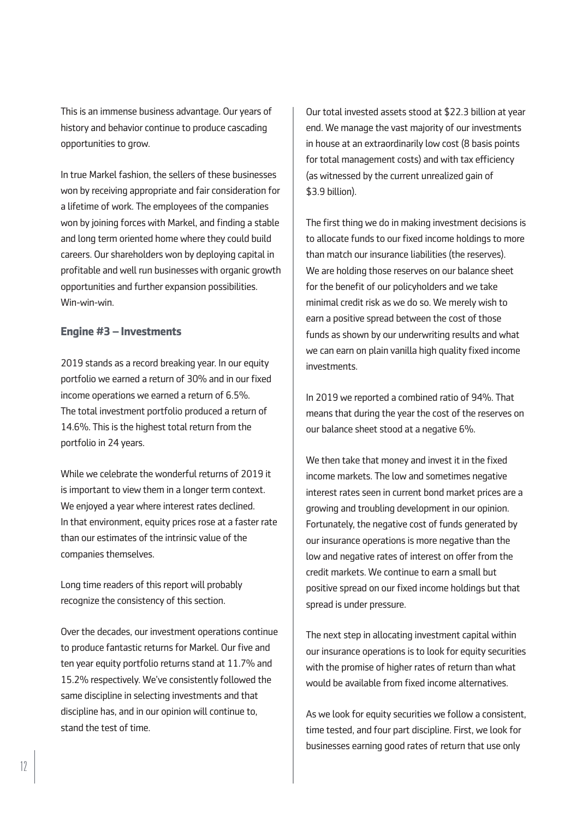This is an immense business advantage. Our years of history and behavior continue to produce cascading opportunities to grow.

In true Markel fashion, the sellers of these businesses won by receiving appropriate and fair consideration for a lifetime of work. The employees of the companies won by joining forces with Markel, and finding a stable and long term oriented home where they could build careers. Our shareholders won by deploying capital in profitable and well run businesses with organic growth opportunities and further expansion possibilities. Win-win-win.

## **Engine #3 – Investments**

2019 stands as a record breaking year. In our equity portfolio we earned a return of 30% and in our fixed income operations we earned a return of 6.5%. The total investment portfolio produced a return of 14.6%. This is the highest total return from the portfolio in 24 years.

While we celebrate the wonderful returns of 2019 it is important to view them in a longer term context. We enjoyed a year where interest rates declined. In that environment, equity prices rose at a faster rate than our estimates of the intrinsic value of the companies themselves.

Long time readers of this report will probably recognize the consistency of this section.

Over the decades, our investment operations continue to produce fantastic returns for Markel. Our five and ten year equity portfolio returns stand at 11.7% and 15.2% respectively. We've consistently followed the same discipline in selecting investments and that discipline has, and in our opinion will continue to, stand the test of time.

Our total invested assets stood at \$22.3 billion at year end. We manage the vast majority of our investments in house at an extraordinarily low cost (8 basis points for total management costs) and with tax efficiency (as witnessed by the current unrealized gain of \$3.9 billion).

The first thing we do in making investment decisions is to allocate funds to our fixed income holdings to more than match our insurance liabilities (the reserves). We are holding those reserves on our balance sheet for the benefit of our policyholders and we take minimal credit risk as we do so. We merely wish to earn a positive spread between the cost of those funds as shown by our underwriting results and what we can earn on plain vanilla high quality fixed income investments.

In 2019 we reported a combined ratio of 94%. That means that during the year the cost of the reserves on our balance sheet stood at a negative 6%.

We then take that money and invest it in the fixed income markets. The low and sometimes negative interest rates seen in current bond market prices are a growing and troubling development in our opinion. Fortunately, the negative cost of funds generated by our insurance operations is more negative than the low and negative rates of interest on offer from the credit markets. We continue to earn a small but positive spread on our fixed income holdings but that spread is under pressure.

The next step in allocating investment capital within our insurance operations is to look for equity securities with the promise of higher rates of return than what would be available from fixed income alternatives.

As we look for equity securities we follow a consistent, time tested, and four part discipline. First, we look for businesses earning good rates of return that use only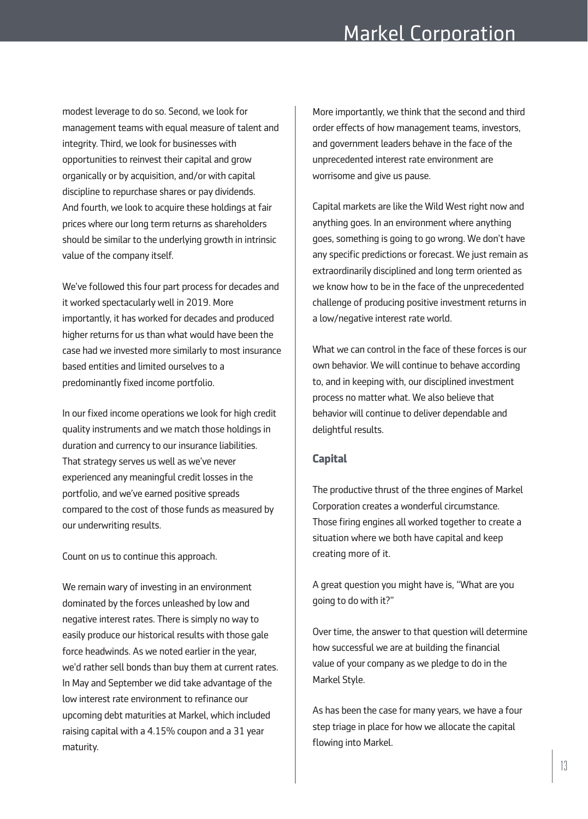modest leverage to do so. Second, we look for management teams with equal measure of talent and integrity. Third, we look for businesses with opportunities to reinvest their capital and grow organically or by acquisition, and/or with capital discipline to repurchase shares or pay dividends. And fourth, we look to acquire these holdings at fair prices where our long term returns as shareholders should be similar to the underlying growth in intrinsic value of the company itself.

We've followed this four part process for decades and it worked spectacularly well in 2019. More importantly, it has worked for decades and produced higher returns for us than what would have been the case had we invested more similarly to most insurance based entities and limited ourselves to a predominantly fixed income portfolio.

In our fixed income operations we look for high credit quality instruments and we match those holdings in duration and currency to our insurance liabilities. That strategy serves us well as we've never experienced any meaningful credit losses in the portfolio, and we've earned positive spreads compared to the cost of those funds as measured by our underwriting results.

Count on us to continue this approach.

We remain wary of investing in an environment dominated by the forces unleashed by low and negative interest rates. There is simply no way to easily produce our historical results with those gale force headwinds. As we noted earlier in the year, we'd rather sell bonds than buy them at current rates. In May and September we did take advantage of the low interest rate environment to refinance our upcoming debt maturities at Markel, which included raising capital with a 4.15% coupon and a 31 year maturity.

More importantly, we think that the second and third order effects of how management teams, investors, and government leaders behave in the face of the unprecedented interest rate environment are worrisome and give us pause.

Capital markets are like the Wild West right now and anything goes. In an environment where anything goes, something is going to go wrong. We don't have any specific predictions or forecast. We just remain as extraordinarily disciplined and long term oriented as we know how to be in the face of the unprecedented challenge of producing positive investment returns in a low/negative interest rate world.

What we can control in the face of these forces is our own behavior. We will continue to behave according to, and in keeping with, our disciplined investment process no matter what. We also believe that behavior will continue to deliver dependable and delightful results.

# **Capital**

The productive thrust of the three engines of Markel Corporation creates a wonderful circumstance. Those firing engines all worked together to create a situation where we both have capital and keep creating more of it.

A great question you might have is, "What are you going to do with it?"

Over time, the answer to that question will determine how successful we are at building the financial value of your company as we pledge to do in the Markel Style.

As has been the case for many years, we have a four step triage in place for how we allocate the capital flowing into Markel.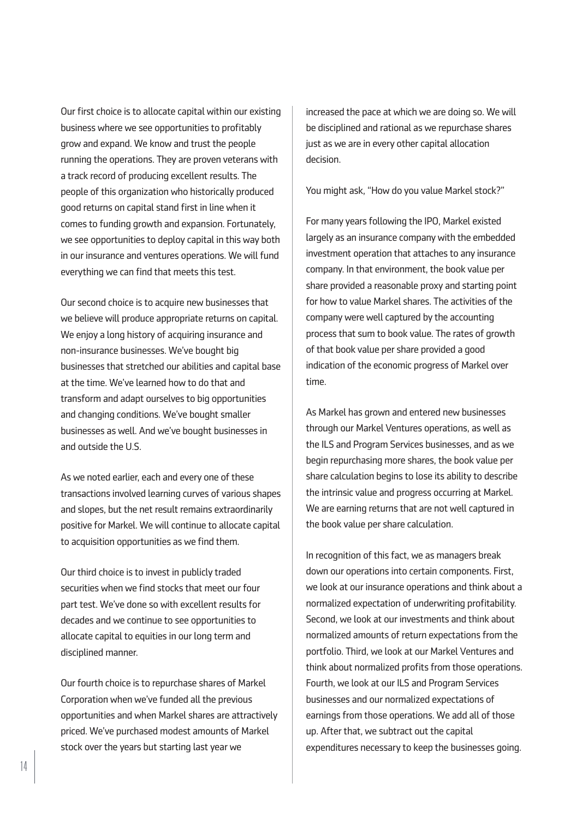Our first choice is to allocate capital within our existing business where we see opportunities to profitably grow and expand. We know and trust the people running the operations. They are proven veterans with a track record of producing excellent results. The people of this organization who historically produced good returns on capital stand first in line when it comes to funding growth and expansion. Fortunately, we see opportunities to deploy capital in this way both in our insurance and ventures operations. We will fund everything we can find that meets this test.

Our second choice is to acquire new businesses that we believe will produce appropriate returns on capital. We enjoy a long history of acquiring insurance and non-insurance businesses. We've bought big businesses that stretched our abilities and capital base at the time. We've learned how to do that and transform and adapt ourselves to big opportunities and changing conditions. We've bought smaller businesses as well. And we've bought businesses in and outside the U.S.

As we noted earlier, each and every one of these transactions involved learning curves of various shapes and slopes, but the net result remains extraordinarily positive for Markel. We will continue to allocate capital to acquisition opportunities as we find them.

Our third choice is to invest in publicly traded securities when we find stocks that meet our four part test. We've done so with excellent results for decades and we continue to see opportunities to allocate capital to equities in our long term and disciplined manner.

Our fourth choice is to repurchase shares of Markel Corporation when we've funded all the previous opportunities and when Markel shares are attractively priced. We've purchased modest amounts of Markel stock over the years but starting last year we

increased the pace at which we are doing so. We will be disciplined and rational as we repurchase shares just as we are in every other capital allocation decision.

You might ask, "How do you value Markel stock?"

For many years following the IPO, Markel existed largely as an insurance company with the embedded investment operation that attaches to any insurance company. In that environment, the book value per share provided a reasonable proxy and starting point for how to value Markel shares. The activities of the company were well captured by the accounting process that sum to book value. The rates of growth of that book value per share provided a good indication of the economic progress of Markel over time.

As Markel has grown and entered new businesses through our Markel Ventures operations, as well as the ILS and Program Services businesses, and as we begin repurchasing more shares, the book value per share calculation begins to lose its ability to describe the intrinsic value and progress occurring at Markel. We are earning returns that are not well captured in the book value per share calculation.

In recognition of this fact, we as managers break down our operations into certain components. First, we look at our insurance operations and think about a normalized expectation of underwriting profitability. Second, we look at our investments and think about normalized amounts of return expectations from the portfolio. Third, we look at our Markel Ventures and think about normalized profits from those operations. Fourth, we look at our ILS and Program Services businesses and our normalized expectations of earnings from those operations. We add all of those up. After that, we subtract out the capital expenditures necessary to keep the businesses going.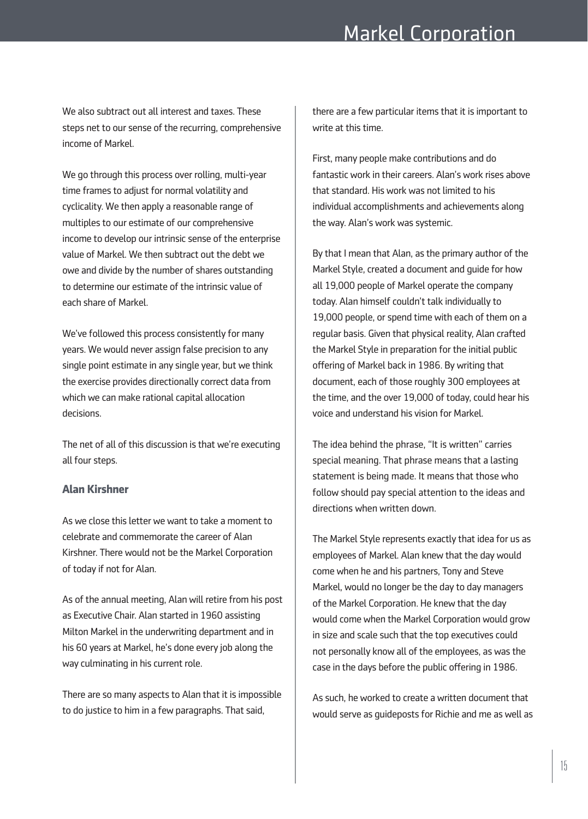We also subtract out all interest and taxes. These steps net to our sense of the recurring, comprehensive income of Markel.

We go through this process over rolling, multi-year time frames to adjust for normal volatility and cyclicality. We then apply a reasonable range of multiples to our estimate of our comprehensive income to develop our intrinsic sense of the enterprise value of Markel. We then subtract out the debt we owe and divide by the number of shares outstanding to determine our estimate of the intrinsic value of each share of Markel.

We've followed this process consistently for many years. We would never assign false precision to any single point estimate in any single year, but we think the exercise provides directionally correct data from which we can make rational capital allocation decisions.

The net of all of this discussion is that we're executing all four steps.

## **Alan Kirshner**

As we close this letter we want to take a moment to celebrate and commemorate the career of Alan Kirshner. There would not be the Markel Corporation of today if not for Alan.

As of the annual meeting, Alan will retire from his post as Executive Chair. Alan started in 1960 assisting Milton Markel in the underwriting department and in his 60 years at Markel, he's done every job along the way culminating in his current role.

There are so many aspects to Alan that it is impossible to do justice to him in a few paragraphs. That said,

there are a few particular items that it is important to write at this time.

First, many people make contributions and do fantastic work in their careers. Alan's work rises above that standard. His work was not limited to his individual accomplishments and achievements along the way. Alan's work was systemic.

By that I mean that Alan, as the primary author of the Markel Style, created a document and guide for how all 19,000 people of Markel operate the company today. Alan himself couldn't talk individually to 19,000 people, or spend time with each of them on a regular basis. Given that physical reality, Alan crafted the Markel Style in preparation for the initial public offering of Markel back in 1986. By writing that document, each of those roughly 300 employees at the time, and the over 19,000 of today, could hear his voice and understand his vision for Markel.

The idea behind the phrase, "It is written" carries special meaning. That phrase means that a lasting statement is being made. It means that those who follow should pay special attention to the ideas and directions when written down.

The Markel Style represents exactly that idea for us as employees of Markel. Alan knew that the day would come when he and his partners, Tony and Steve Markel, would no longer be the day to day managers of the Markel Corporation. He knew that the day would come when the Markel Corporation would grow in size and scale such that the top executives could not personally know all of the employees, as was the case in the days before the public offering in 1986.

As such, he worked to create a written document that would serve as guideposts for Richie and me as well as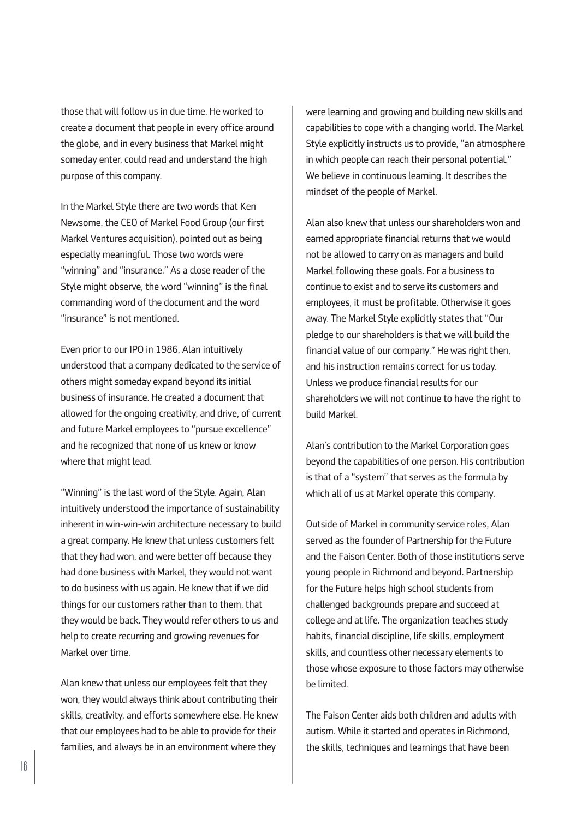those that will follow us in due time. He worked to create a document that people in every office around the globe, and in every business that Markel might someday enter, could read and understand the high purpose of this company.

In the Markel Style there are two words that Ken Newsome, the CEO of Markel Food Group (our first Markel Ventures acquisition), pointed out as being especially meaningful. Those two words were "winning" and "insurance." As a close reader of the Style might observe, the word "winning" is the final commanding word of the document and the word "insurance" is not mentioned.

Even prior to our IPO in 1986, Alan intuitively understood that a company dedicated to the service of others might someday expand beyond its initial business of insurance. He created a document that allowed for the ongoing creativity, and drive, of current and future Markel employees to "pursue excellence" and he recognized that none of us knew or know where that might lead.

"Winning" is the last word of the Style. Again, Alan intuitively understood the importance of sustainability inherent in win-win-win architecture necessary to build a great company. He knew that unless customers felt that they had won, and were better off because they had done business with Markel, they would not want to do business with us again. He knew that if we did things for our customers rather than to them, that they would be back. They would refer others to us and help to create recurring and growing revenues for Markel over time.

Alan knew that unless our employees felt that they won, they would always think about contributing their skills, creativity, and efforts somewhere else. He knew that our employees had to be able to provide for their families, and always be in an environment where they

were learning and growing and building new skills and capabilities to cope with a changing world. The Markel Style explicitly instructs us to provide, "an atmosphere in which people can reach their personal potential." We believe in continuous learning. It describes the mindset of the people of Markel.

Alan also knew that unless our shareholders won and earned appropriate financial returns that we would not be allowed to carry on as managers and build Markel following these goals. For a business to continue to exist and to serve its customers and employees, it must be profitable. Otherwise it goes away. The Markel Style explicitly states that "Our pledge to our shareholders is that we will build the financial value of our company." He was right then, and his instruction remains correct for us today. Unless we produce financial results for our shareholders we will not continue to have the right to build Markel.

Alan's contribution to the Markel Corporation goes beyond the capabilities of one person. His contribution is that of a "system" that serves as the formula by which all of us at Markel operate this company.

Outside of Markel in community service roles, Alan served as the founder of Partnership for the Future and the Faison Center. Both of those institutions serve young people in Richmond and beyond. Partnership for the Future helps high school students from challenged backgrounds prepare and succeed at college and at life. The organization teaches study habits, financial discipline, life skills, employment skills, and countless other necessary elements to those whose exposure to those factors may otherwise be limited.

The Faison Center aids both children and adults with autism. While it started and operates in Richmond, the skills, techniques and learnings that have been